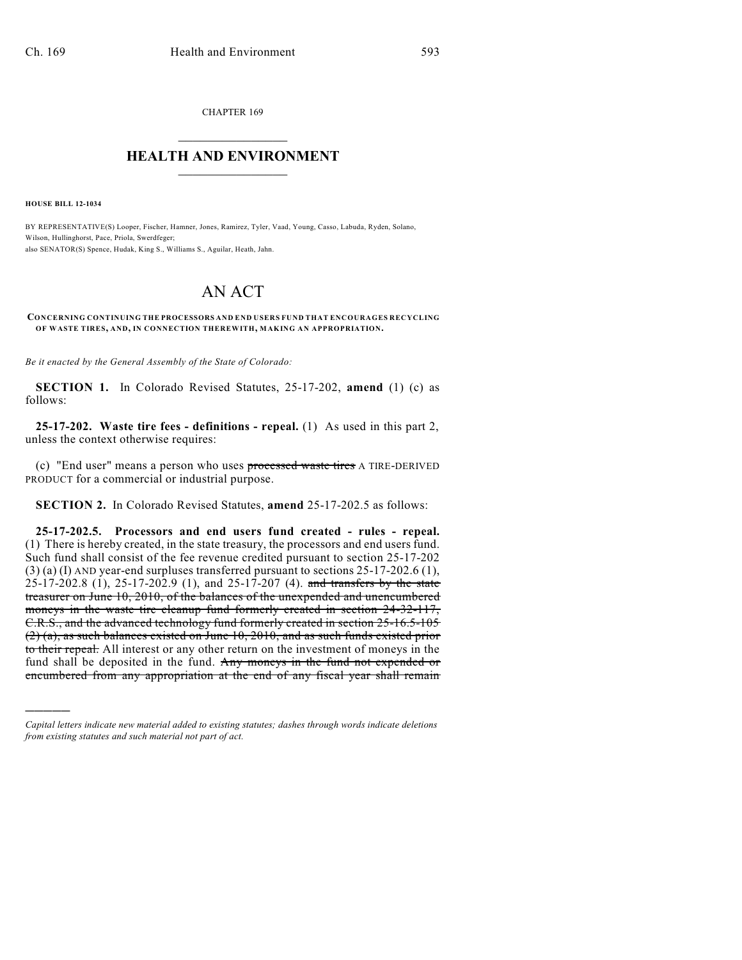CHAPTER 169  $\overline{\phantom{a}}$  . The set of the set of the set of the set of the set of the set of the set of the set of the set of the set of the set of the set of the set of the set of the set of the set of the set of the set of the set o

## **HEALTH AND ENVIRONMENT**  $\_$

**HOUSE BILL 12-1034**

)))))

BY REPRESENTATIVE(S) Looper, Fischer, Hamner, Jones, Ramirez, Tyler, Vaad, Young, Casso, Labuda, Ryden, Solano, Wilson, Hullinghorst, Pace, Priola, Swerdfeger; also SENATOR(S) Spence, Hudak, King S., Williams S., Aguilar, Heath, Jahn.

## AN ACT

**CONCERNING CONTINUING THE PROCESSORS AND END USERS FUND THAT ENCOURAGES RECYCLING OF WASTE TIRES, AND, IN CONNECTION THEREWITH, MAKING AN APPROPRIATION.**

*Be it enacted by the General Assembly of the State of Colorado:*

**SECTION 1.** In Colorado Revised Statutes, 25-17-202, **amend** (1) (c) as follows:

**25-17-202. Waste tire fees - definitions - repeal.** (1) As used in this part 2, unless the context otherwise requires:

(c) "End user" means a person who uses processed waste tires A TIRE-DERIVED PRODUCT for a commercial or industrial purpose.

**SECTION 2.** In Colorado Revised Statutes, **amend** 25-17-202.5 as follows:

**25-17-202.5. Processors and end users fund created - rules - repeal.** (1) There is hereby created, in the state treasury, the processors and end users fund. Such fund shall consist of the fee revenue credited pursuant to section 25-17-202 (3) (a) (I) AND year-end surpluses transferred pursuant to sections 25-17-202.6 (1),  $25-17-202.8$  (1),  $25-17-202.9$  (1), and  $25-17-207$  (4). and transfers by the state treasurer on June 10, 2010, of the balances of the unexpended and unencumbered moneys in the waste tire cleanup fund formerly created in section 24-32-117, C.R.S., and the advanced technology fund formerly created in section 25-16.5-105 (2) (a), as such balances existed on June 10, 2010, and as such funds existed prior to their repeal. All interest or any other return on the investment of moneys in the fund shall be deposited in the fund. Any moneys in the fund not expended or encumbered from any appropriation at the end of any fiscal year shall remain

*Capital letters indicate new material added to existing statutes; dashes through words indicate deletions from existing statutes and such material not part of act.*